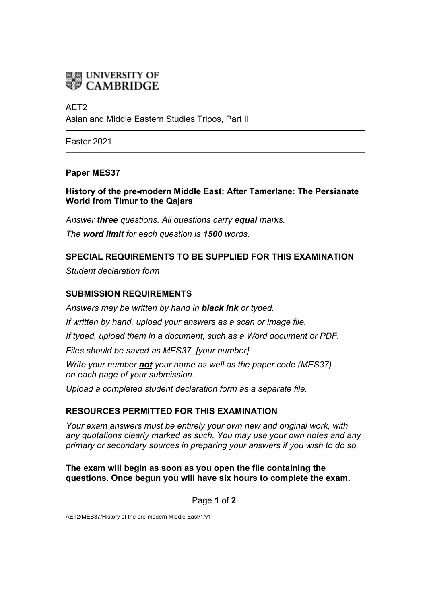

# AFT<sub>2</sub>

Asian and Middle Eastern Studies Tripos, Part II

Easter 2021

#### **Paper MES37**

#### **History of the pre-modern Middle East: After Tamerlane: The Persianate World from Timur to the Qajars**

*Answer three questions. All questions carry equal marks. The word limit for each question is 1500 words.*

# **SPECIAL REQUIREMENTS TO BE SUPPLIED FOR THIS EXAMINATION**

*Student declaration form*

# **SUBMISSION REQUIREMENTS**

*Answers may be written by hand in black ink or typed.*

*If written by hand, upload your answers as a scan or image file.*

*If typed, upload them in a document, such as a Word document or PDF.*

*Files should be saved as MES37\_[your number].*

*Write your number not your name as well as the paper code (MES37) on each page of your submission.*

*Upload a completed student declaration form as a separate file.*

# **RESOURCES PERMITTED FOR THIS EXAMINATION**

*Your exam answers must be entirely your own new and original work, with any quotations clearly marked as such. You may use your own notes and any primary or secondary sources in preparing your answers if you wish to do so.*

**The exam will begin as soon as you open the file containing the questions. Once begun you will have six hours to complete the exam.**

Page **1** of **2**

AET2/MES37/History of the pre-modern Middle East/1/v1